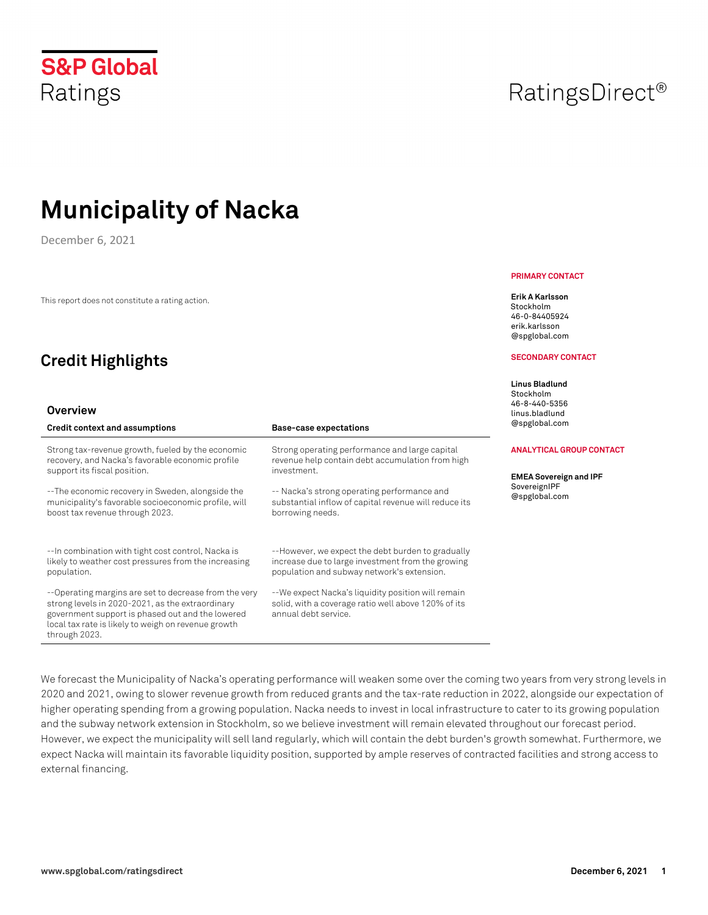external financing.

# **S&P Global** Ratings

# **Municipality of Nacka**

December 6, 2021

This report does not constitute a rating action.

# **Credit Highlights**

#### **Overview**

| Credit context and assumptions                                                                                                                                                                                                        | <b>Base-case expectations</b>                                                                                                     |
|---------------------------------------------------------------------------------------------------------------------------------------------------------------------------------------------------------------------------------------|-----------------------------------------------------------------------------------------------------------------------------------|
| Strong tax-revenue growth, fueled by the economic                                                                                                                                                                                     | Strong operating performance and large capital                                                                                    |
| recovery, and Nacka's favorable economic profile                                                                                                                                                                                      | revenue help contain debt accumulation from high                                                                                  |
| support its fiscal position.                                                                                                                                                                                                          | investment.                                                                                                                       |
| --The economic recovery in Sweden, alongside the                                                                                                                                                                                      | -- Nacka's strong operating performance and                                                                                       |
| municipality's favorable socioeconomic profile, will                                                                                                                                                                                  | substantial inflow of capital revenue will reduce its                                                                             |
| boost tax revenue through 2023.                                                                                                                                                                                                       | borrowing needs.                                                                                                                  |
| --In combination with tight cost control, Nacka is                                                                                                                                                                                    | --However, we expect the debt burden to gradually                                                                                 |
| likely to weather cost pressures from the increasing                                                                                                                                                                                  | increase due to large investment from the growing                                                                                 |
| population.                                                                                                                                                                                                                           | population and subway network's extension.                                                                                        |
| --Operating margins are set to decrease from the very<br>strong levels in 2020-2021, as the extraordinary<br>government support is phased out and the lowered<br>local tax rate is likely to weigh on revenue growth<br>through 2023. | --We expect Nacka's liquidity position will remain<br>solid, with a coverage ratio well above 120% of its<br>annual debt service. |

We forecast the Municipality of Nacka's operating performance will weaken some over the coming two years from very strong levels in 2020 and 2021, owing to slower revenue growth from reduced grants and the tax-rate reduction in 2022, alongside our expectation of higher operating spending from a growing population. Nacka needs to invest in local infrastructure to cater to its growing population and the subway network extension in Stockholm, so we believe investment will remain elevated throughout our forecast period. However, we expect the municipality will sell land regularly, which will contain the debt burden's growth somewhat. Furthermore, we expect Nacka will maintain its favorable liquidity position, supported by ample reserves of contracted facilities and strong access to

# RatingsDirect<sup>®</sup>

#### **PRIMARY CONTACT**

**Erik A Karlsson** Stockholm 46-0-84405924 erik.karlsson @spglobal.com

#### **SECONDARY CONTACT**

**Linus Bladlund**  Stockholm 46-8-440-5356 linus.bladlund pglobal.com

#### **ANALYTICAL GROUP CONTACT**

**EMEA Sovereign and IPF**  ereignIPF pglobal.com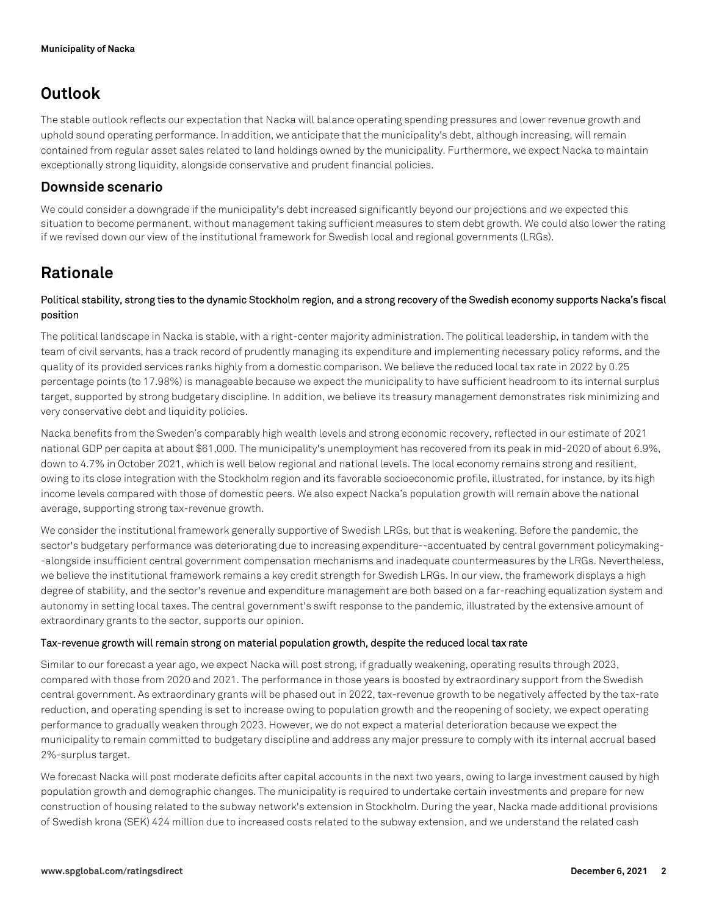## **Outlook**

The stable outlook reflects our expectation that Nacka will balance operating spending pressures and lower revenue growth and uphold sound operating performance. In addition, we anticipate that the municipality's debt, although increasing, will remain contained from regular asset sales related to land holdings owned by the municipality. Furthermore, we expect Nacka to maintain exceptionally strong liquidity, alongside conservative and prudent financial policies.

### **Downside scenario**

We could consider a downgrade if the municipality's debt increased significantly beyond our projections and we expected this situation to become permanent, without management taking sufficient measures to stem debt growth. We could also lower the rating if we revised down our view of the institutional framework for Swedish local and regional governments (LRGs).

## **Rationale**

### **Political stability, strong ties to the dynamic Stockholm region, and a strong recovery of the Swedish economy supports Nacka's fiscal position**

The political landscape in Nacka is stable, with a right-center majority administration. The political leadership, in tandem with the team of civil servants, has a track record of prudently managing its expenditure and implementing necessary policy reforms, and the quality of its provided services ranks highly from a domestic comparison. We believe the reduced local tax rate in 2022 by 0.25 percentage points (to 17.98%) is manageable because we expect the municipality to have sufficient headroom to its internal surplus target, supported by strong budgetary discipline. In addition, we believe its treasury management demonstrates risk minimizing and very conservative debt and liquidity policies.

Nacka benefits from the Sweden's comparably high wealth levels and strong economic recovery, reflected in our estimate of 2021 national GDP per capita at about \$61,000. The municipality's unemployment has recovered from its peak in mid-2020 of about 6.9%, down to 4.7% in October 2021, which is well below regional and national levels. The local economy remains strong and resilient, owing to its close integration with the Stockholm region and its favorable socioeconomic profile, illustrated, for instance, by its high income levels compared with those of domestic peers. We also expect Nacka's population growth will remain above the national average, supporting strong tax-revenue growth.

We consider the institutional framework generally supportive of Swedish LRGs, but that is weakening. Before the pandemic, the sector's budgetary performance was deteriorating due to increasing expenditure--accentuated by central government policymaking- -alongside insufficient central government compensation mechanisms and inadequate countermeasures by the LRGs. Nevertheless, we believe the institutional framework remains a key credit strength for Swedish LRGs. In our view, the framework displays a high degree of stability, and the sector's revenue and expenditure management are both based on a far-reaching equalization system and autonomy in setting local taxes. The central government's swift response to the pandemic, illustrated by the extensive amount of extraordinary grants to the sector, supports our opinion.

#### **Tax-revenue growth will remain strong on material population growth, despite the reduced local tax rate**

Similar to our forecast a year ago, we expect Nacka will post strong, if gradually weakening, operating results through 2023, compared with those from 2020 and 2021. The performance in those years is boosted by extraordinary support from the Swedish central government. As extraordinary grants will be phased out in 2022, tax-revenue growth to be negatively affected by the tax-rate reduction, and operating spending is set to increase owing to population growth and the reopening of society, we expect operating performance to gradually weaken through 2023. However, we do not expect a material deterioration because we expect the municipality to remain committed to budgetary discipline and address any major pressure to comply with its internal accrual based 2%-surplus target.

We forecast Nacka will post moderate deficits after capital accounts in the next two years, owing to large investment caused by high population growth and demographic changes. The municipality is required to undertake certain investments and prepare for new construction of housing related to the subway network's extension in Stockholm. During the year, Nacka made additional provisions of Swedish krona (SEK) 424 million due to increased costs related to the subway extension, and we understand the related cash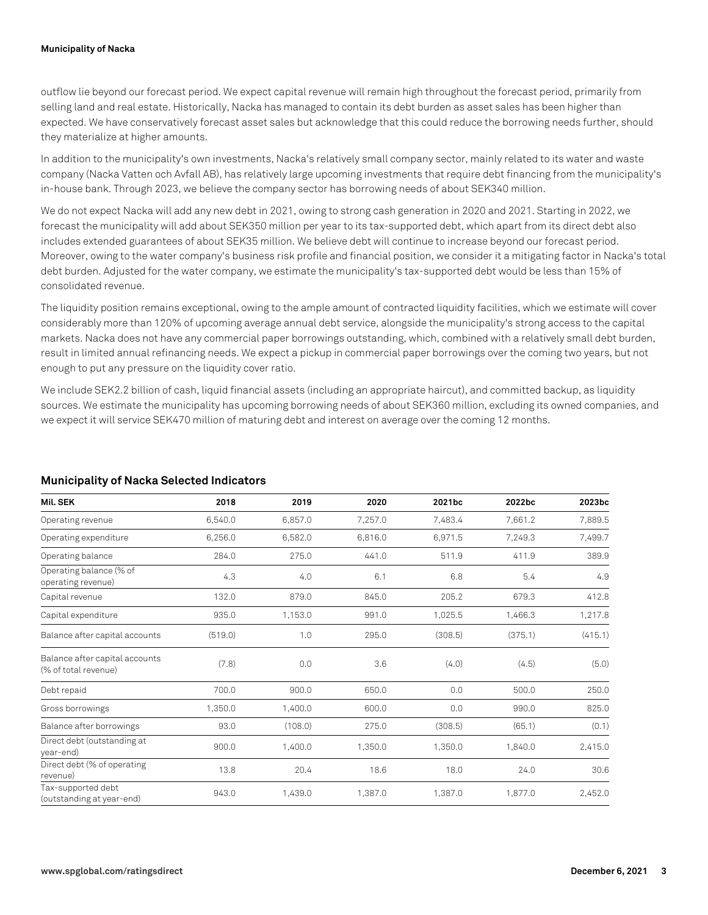#### **Municipality of Nacka**

outflow lie beyond our forecast period. We expect capital revenue will remain high throughout the forecast period, primarily from selling land and real estate. Historically, Nacka has managed to contain its debt burden as asset sales has been higher than expected. We have conservatively forecast asset sales but acknowledge that this could reduce the borrowing needs further, should they materialize at higher amounts.

In addition to the municipality's own investments, Nacka's relatively small company sector, mainly related to its water and waste company (Nacka Vatten och Avfall AB), has relatively large upcoming investments that require debt financing from the municipality's in-house bank. Through 2023, we believe the company sector has borrowing needs of about SEK340 million.

We do not expect Nacka will add any new debt in 2021, owing to strong cash generation in 2020 and 2021. Starting in 2022, we forecast the municipality will add about SEK350 million per year to its tax-supported debt, which apart from its direct debt also includes extended guarantees of about SEK35 million. We believe debt will continue to increase beyond our forecast period. Moreover, owing to the water company's business risk profile and financial position, we consider it a mitigating factor in Nacka's total debt burden. Adjusted for the water company, we estimate the municipality's tax-supported debt would be less than 15% of consolidated revenue.

The liquidity position remains exceptional, owing to the ample amount of contracted liquidity facilities, which we estimate will cover considerably more than 120% of upcoming average annual debt service, alongside the municipality's strong access to the capital markets. Nacka does not have any commercial paper borrowings outstanding, which, combined with a relatively small debt burden, result in limited annual refinancing needs. We expect a pickup in commercial paper borrowings over the coming two years, but not enough to put any pressure on the liquidity cover ratio.

We include SEK2.2 billion of cash, liquid financial assets (including an appropriate haircut), and committed backup, as liquidity sources. We estimate the municipality has upcoming borrowing needs of about SEK360 million, excluding its owned companies, and we expect it will service SEK470 million of maturing debt and interest on average over the coming 12 months.

| Mil. SEK                                               | 2018    | 2019    | 2020    | 2021bc  | 2022bc  | 2023bc  |
|--------------------------------------------------------|---------|---------|---------|---------|---------|---------|
| Operating revenue                                      | 6,540.0 | 6,857.0 | 7,257.0 | 7,483.4 | 7,661.2 | 7,889.5 |
| Operating expenditure                                  | 6,256.0 | 6,582.0 | 6,816.0 | 6,971.5 | 7,249.3 | 7,499.7 |
| Operating balance                                      | 284.0   | 275.0   | 441.0   | 511.9   | 411.9   | 389.9   |
| Operating balance (% of<br>operating revenue)          | 4.3     | 4.0     | 6.1     | 6.8     | 5.4     | 4.9     |
| Capital revenue                                        | 132.0   | 879.0   | 845.0   | 205.2   | 679.3   | 412.8   |
| Capital expenditure                                    | 935.0   | 1,153.0 | 991.0   | 1,025.5 | 1,466.3 | 1,217.8 |
| Balance after capital accounts                         | (519.0) | 1.0     | 295.0   | (308.5) | (375.1) | (415.1) |
| Balance after capital accounts<br>(% of total revenue) | (7.8)   | 0.0     | 3.6     | (4.0)   | (4.5)   | (5.0)   |
| Debt repaid                                            | 700.0   | 900.0   | 650.0   | 0.0     | 500.0   | 250.0   |
| Gross borrowings                                       | 1,350.0 | 1,400.0 | 600.0   | 0.0     | 990.0   | 825.0   |
| Balance after borrowings                               | 93.0    | (108.0) | 275.0   | (308.5) | (65.1)  | (0.1)   |
| Direct debt (outstanding at<br>year-end)               | 900.0   | 1,400.0 | 1,350.0 | 1,350.0 | 1,840.0 | 2,415.0 |
| Direct debt (% of operating<br>revenue)                | 13.8    | 20.4    | 18.6    | 18.0    | 24.0    | 30.6    |
| Tax-supported debt<br>(outstanding at year-end)        | 943.0   | 1,439.0 | 1,387.0 | 1,387.0 | 1,877.0 | 2,452.0 |

### **Municipality of Nacka Selected Indicators**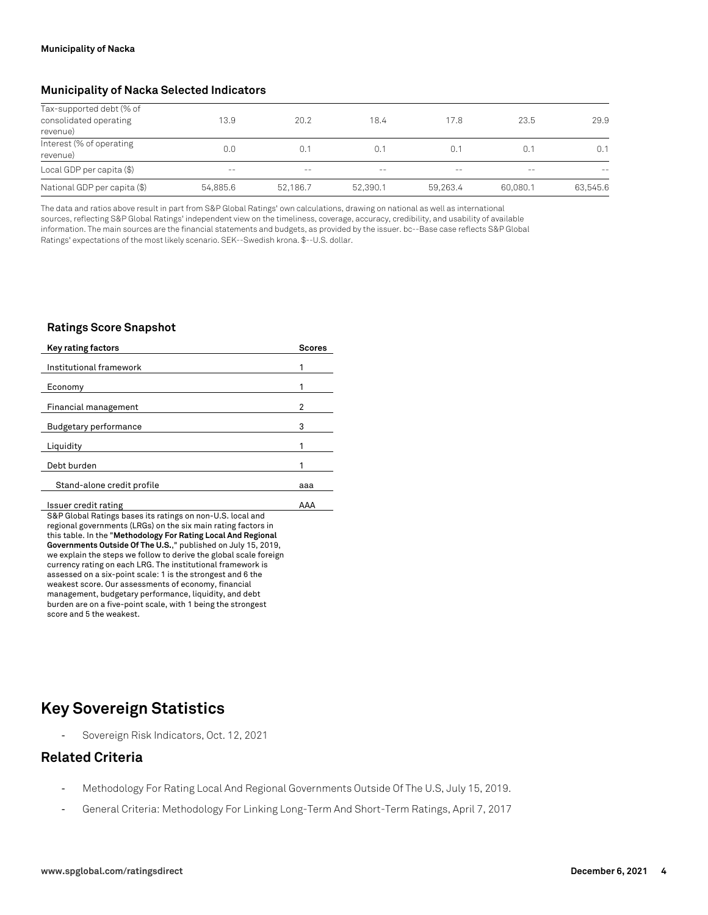#### **Municipality of Nacka Selected Indicators**

| Tax-supported debt (% of<br>consolidated operating<br>revenue) | 13.9     | 20.2     | 18.4     | 17.8     | 23.5     | 29.9     |
|----------------------------------------------------------------|----------|----------|----------|----------|----------|----------|
| Interest (% of operating<br>revenue)                           | 0.0      | 0.1      | 0.1      | 0.1      | 0.1      | 0.1      |
| Local GDP per capita (\$)                                      | $- -$    | $- -$    | $- -$    | $- -$    | $- -$    | $- -$    |
| National GDP per capita (\$)                                   | 54.885.6 | 52.186.7 | 52,390.1 | 59.263.4 | 60.080.1 | 63,545.6 |

The data and ratios above result in part from S&P Global Ratings' own calculations, drawing on national as well as international sources, reflecting S&P Global Ratings' independent view on the timeliness, coverage, accuracy, credibility, and usability of available information. The main sources are the financial statements and budgets, as provided by the issuer. bc--Base case reflects S&P Global Ratings' expectations of the most likely scenario. SEK--Swedish krona. \$--U.S. dollar.

#### **Ratings Score Snapshot**

| <b>Key rating factors</b>                                                                                                   | <b>Scores</b> |
|-----------------------------------------------------------------------------------------------------------------------------|---------------|
|                                                                                                                             |               |
| Institutional framework                                                                                                     |               |
| Economy                                                                                                                     |               |
| Financial management                                                                                                        | 2             |
| <b>Budgetary performance</b>                                                                                                | 3             |
| Liquidity                                                                                                                   | 1             |
| Debt burden                                                                                                                 | 1             |
| Stand-alone credit profile                                                                                                  | aaa           |
| Issuer credit rating                                                                                                        | AAA           |
| S&P Global Ratings bases its ratings on non-U.S. local and<br>regional governments (LRGs) on the six main rating factors in |               |
|                                                                                                                             |               |

this table. In the "**Methodology For Rating Local And Regional Governments Outside Of The U.S.**," published on July 15, 2019, we explain the steps we follow to derive the global scale foreign currency rating on each LRG. The institutional framework is assessed on a six-point scale: 1 is the strongest and 6 the weakest score. Our assessments of economy, financial management, budgetary performance, liquidity, and debt burden are on a five-point scale, with 1 being the strongest score and 5 the weakest.

## **Key Sovereign Statistics**

Sovereign Risk Indicators, Oct. 12, 2021

## **Related Criteria**

- Methodology For Rating Local And Regional Governments Outside Of The U.S, July 15, 2019.
- General Criteria: Methodology For Linking Long-Term And Short-Term Ratings, April 7, 2017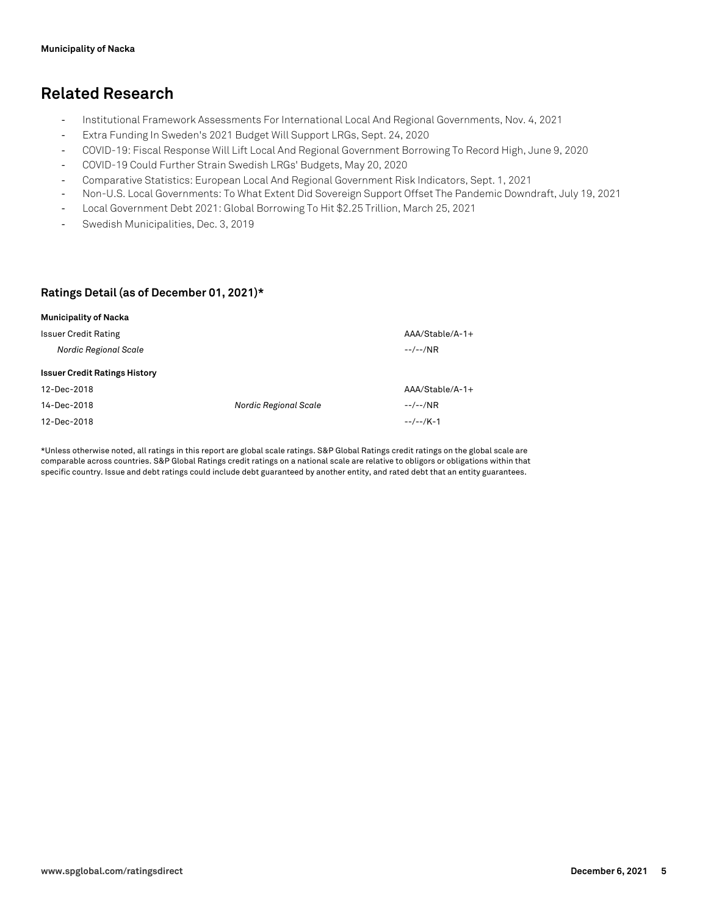## **Related Research**

- Institutional Framework Assessments For International Local And Regional Governments, Nov. 4, 2021
- Extra Funding In Sweden's 2021 Budget Will Support LRGs, Sept. 24, 2020
- COVID-19: Fiscal Response Will Lift Local And Regional Government Borrowing To Record High, June 9, 2020
- COVID-19 Could Further Strain Swedish LRGs' Budgets, May 20, 2020
- Comparative Statistics: European Local And Regional Government Risk Indicators, Sept. 1, 2021
- Non-U.S. Local Governments: To What Extent Did Sovereign Support Offset The Pandemic Downdraft, July 19, 2021
- Local Government Debt 2021: Global Borrowing To Hit \$2.25 Trillion, March 25, 2021
- Swedish Municipalities, Dec. 3, 2019

#### **Ratings Detail (as of December 01, 2021)\***

| <b>Municipality of Nacka</b>         |                              |                  |
|--------------------------------------|------------------------------|------------------|
| <b>Issuer Credit Rating</b>          |                              | $AA/Stable/A-1+$ |
| <b>Nordic Regional Scale</b>         |                              | $-$ / $-$ /NR    |
| <b>Issuer Credit Ratings History</b> |                              |                  |
| 12-Dec-2018                          |                              | AAA/Stable/A-1+  |
| 14-Dec-2018                          | <b>Nordic Regional Scale</b> | $-$ / $-$ /NR    |
| 12-Dec-2018                          |                              | $-/-$ /K-1       |

\*Unless otherwise noted, all ratings in this report are global scale ratings. S&P Global Ratings credit ratings on the global scale are comparable across countries. S&P Global Ratings credit ratings on a national scale are relative to obligors or obligations within that specific country. Issue and debt ratings could include debt guaranteed by another entity, and rated debt that an entity guarantees.